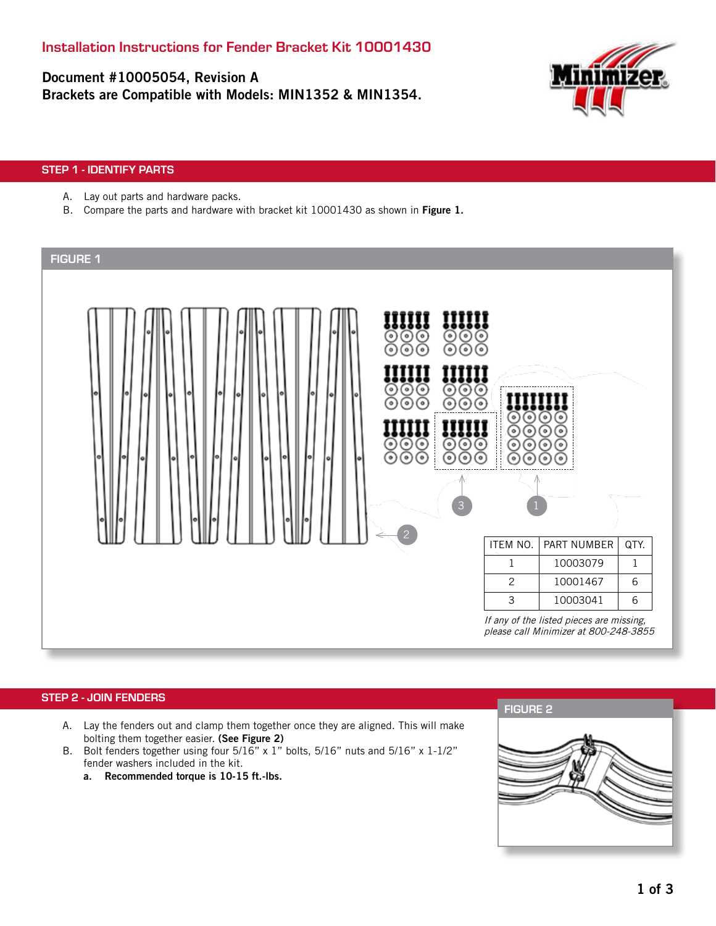Document #10005054, Revision A Brackets are Compatible with Models: MIN1352 & MIN1354.



## STEP 1 - IDENTIFY PARTS

- A. Lay out parts and hardware packs.
- B. Compare the parts and hardware with bracket kit 10001430 as shown in Figure 1.

| <b>FIGURE 1</b>                                                                                                                                                                                                  |                                                                         |                                                                                   |              |
|------------------------------------------------------------------------------------------------------------------------------------------------------------------------------------------------------------------|-------------------------------------------------------------------------|-----------------------------------------------------------------------------------|--------------|
| ⊙<br>$\odot$<br>⊙<br>$\circ$<br>$\circ$<br>C<br>ര<br>⊙<br>ര<br>ಾ<br>ര<br>6<br>ಾ<br>ര<br>⊙<br>ಾ<br>ര<br>⊙<br>⊙<br>ಾ<br>⊙<br>⊙<br>ര<br>(•)<br><u>ම</u><br>$\frac{\circ}{\circ}$<br>ಾ<br>⊙<br>⊙<br>⊙<br>ര<br>ര<br>3 | ◉<br>⊚<br>⊙<br>೧<br>$\circ$<br>$\bullet$<br>$\bullet$<br>$\ddot{\circ}$ | $\circ$<br>$\bullet$<br>ര<br>$\circ$<br>$\bullet$<br>$\circ$<br>$\bullet$         |              |
| $\overline{2}$                                                                                                                                                                                                   | <b>ITEM NO.</b>                                                         | PART NUMBER                                                                       | QTY.         |
|                                                                                                                                                                                                                  | $\mathbf{1}$                                                            | 10003079                                                                          | $\mathbf{1}$ |
|                                                                                                                                                                                                                  | $\overline{c}$                                                          | 10001467                                                                          | 6            |
|                                                                                                                                                                                                                  | 3                                                                       | 10003041                                                                          | $\,$ 6 $\,$  |
|                                                                                                                                                                                                                  |                                                                         | If any of the listed pieces are missing,<br>please call Minimizer at 800-248-3855 |              |

#### STEP 2 - JOIN FENDERS

- A. Lay the fenders out and clamp them together once they are aligned. This will make bolting them together easier. (See Figure 2)
- B. Bolt fenders together using four 5/16" x 1" bolts, 5/16" nuts and 5/16" x 1-1/2" fender washers included in the kit.
	- a. Recommended torque is 10-15 ft.-lbs.

FIGURE 2

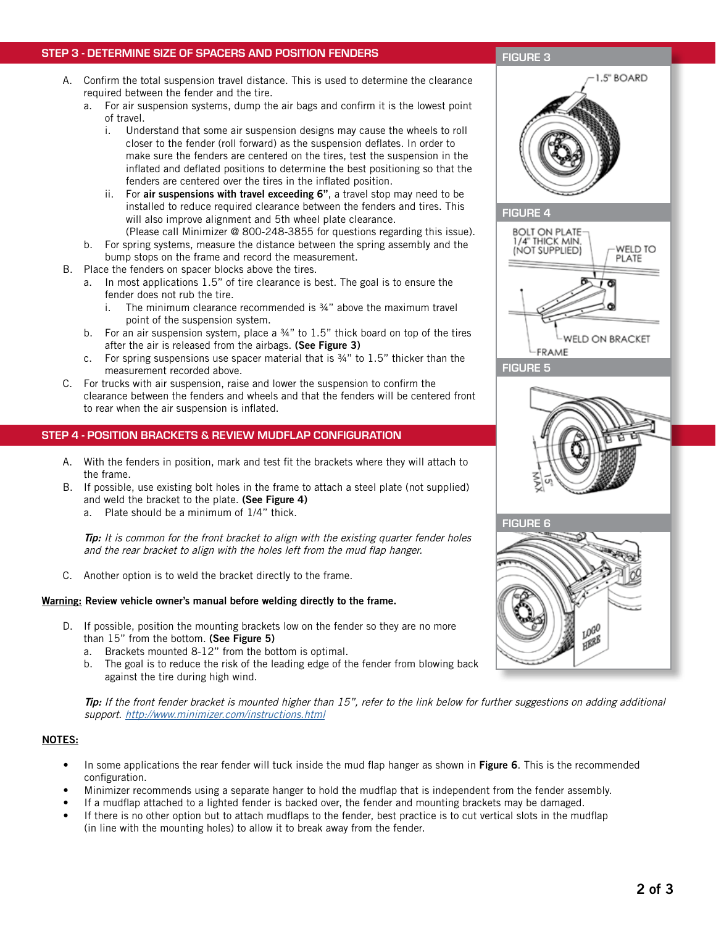# STEP 3 - DETERMINE SIZE OF SPACERS AND POSITION FENDERS

#### A. Confirm the total suspension travel distance. This is used to determine the clearance required between the fender and the tire.

- a. For air suspension systems, dump the air bags and confirm it is the lowest point of travel.
	- i. Understand that some air suspension designs may cause the wheels to roll closer to the fender (roll forward) as the suspension deflates. In order to make sure the fenders are centered on the tires, test the suspension in the inflated and deflated positions to determine the best positioning so that the fenders are centered over the tires in the inflated position.
	- ii. For air suspensions with travel exceeding 6", a travel stop may need to be installed to reduce required clearance between the fenders and tires. This will also improve alignment and 5th wheel plate clearance.
- (Please call Minimizer @ 800-248-3855 for questions regarding this issue). b. For spring systems, measure the distance between the spring assembly and the bump stops on the frame and record the measurement.
- B. Place the fenders on spacer blocks above the tires.
	- a. In most applications 1.5" of tire clearance is best. The goal is to ensure the fender does not rub the tire.
		- i. The minimum clearance recommended is  $34$ " above the maximum travel point of the suspension system.
		- b. For an air suspension system, place a  $\frac{3}{4}$ " to 1.5" thick board on top of the tires after the air is released from the airbags. (See Figure 3)
	- c. For spring suspensions use spacer material that is  $\frac{3}{4}$ " to 1.5" thicker than the measurement recorded above.
- C. For trucks with air suspension, raise and lower the suspension to confirm the clearance between the fenders and wheels and that the fenders will be centered front to rear when the air suspension is inflated.

# STEP 4 - POSITION BRACKETS & REVIEW MUDFLAP CONFIGURATION

- A. With the fenders in position, mark and test fit the brackets where they will attach to the frame.
- B. If possible, use existing bolt holes in the frame to attach a steel plate (not supplied) and weld the bracket to the plate. (See Figure 4)
	- a. Plate should be a minimum of 1/4" thick.

**Tip:** It is common for the front bracket to align with the existing quarter fender holes and the rear bracket to align with the holes left from the mud flap hanger.

C. Another option is to weld the bracket directly to the frame.

## Warning: Review vehicle owner's manual before welding directly to the frame.

- D. If possible, position the mounting brackets low on the fender so they are no more than 15" from the bottom. (See Figure 5)
	- a. Brackets mounted 8-12" from the bottom is optimal.
	- b. The goal is to reduce the risk of the leading edge of the fender from blowing back against the tire during high wind.

Tip: If the front fender bracket is mounted higher than 15", refer to the link below for further suggestions on adding additional support. http://www.minimizer.com/instructions.html

#### NOTES:

- In some applications the rear fender will tuck inside the mud flap hanger as shown in Figure 6. This is the recommended configuration.
- Minimizer recommends using a separate hanger to hold the mudflap that is independent from the fender assembly.
- If a mudflap attached to a lighted fender is backed over, the fender and mounting brackets may be damaged.
- If there is no other option but to attach mudflaps to the fender, best practice is to cut vertical slots in the mudflap (in line with the mounting holes) to allow it to break away from the fender.

# 1.5" BOARD







#### FIGURE 3